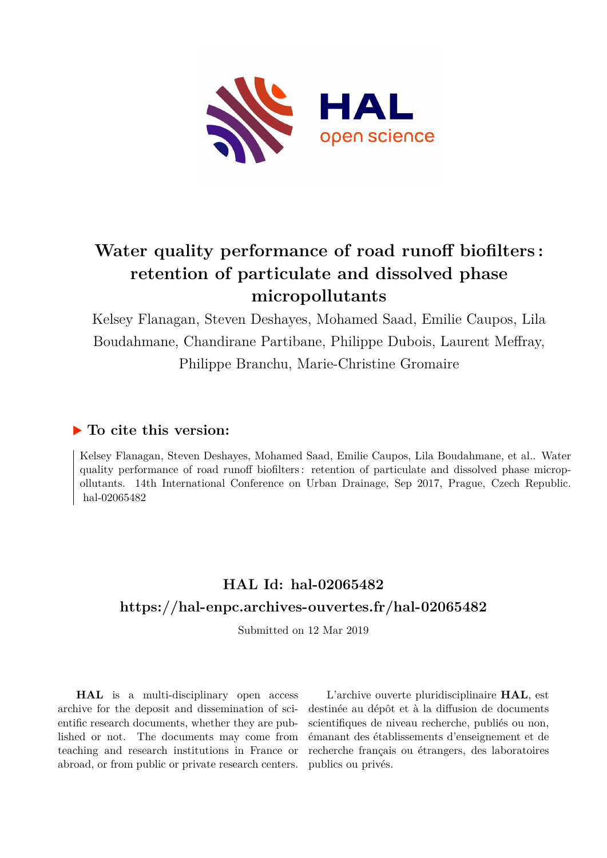

# **Water quality performance of road runoff biofilters : retention of particulate and dissolved phase micropollutants**

Kelsey Flanagan, Steven Deshayes, Mohamed Saad, Emilie Caupos, Lila Boudahmane, Chandirane Partibane, Philippe Dubois, Laurent Meffray, Philippe Branchu, Marie-Christine Gromaire

# **To cite this version:**

Kelsey Flanagan, Steven Deshayes, Mohamed Saad, Emilie Caupos, Lila Boudahmane, et al.. Water quality performance of road runoff biofilters: retention of particulate and dissolved phase micropollutants. 14th International Conference on Urban Drainage, Sep 2017, Prague, Czech Republic. hal-02065482

# **HAL Id: hal-02065482 <https://hal-enpc.archives-ouvertes.fr/hal-02065482>**

Submitted on 12 Mar 2019

**HAL** is a multi-disciplinary open access archive for the deposit and dissemination of scientific research documents, whether they are published or not. The documents may come from teaching and research institutions in France or abroad, or from public or private research centers.

L'archive ouverte pluridisciplinaire **HAL**, est destinée au dépôt et à la diffusion de documents scientifiques de niveau recherche, publiés ou non, émanant des établissements d'enseignement et de recherche français ou étrangers, des laboratoires publics ou privés.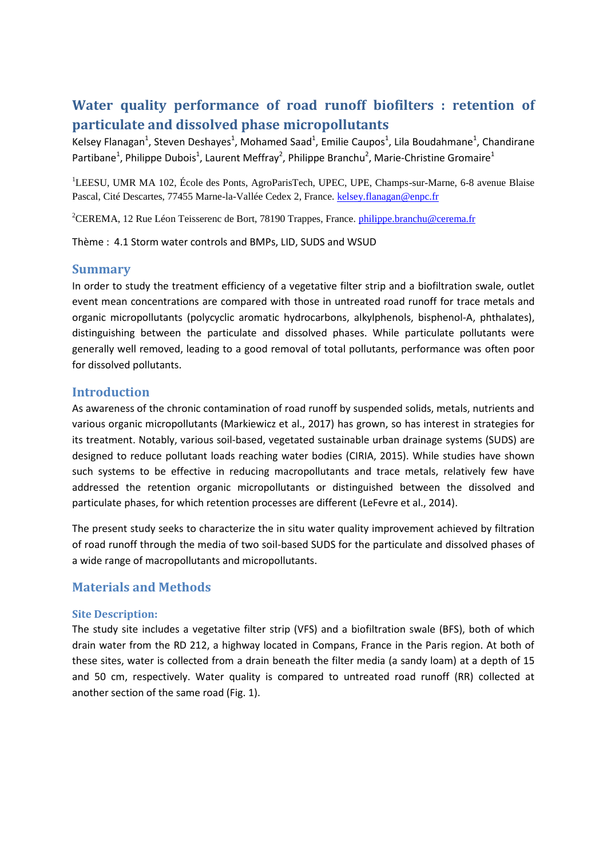# **Water quality performance of road runoff biofilters : retention of particulate and dissolved phase micropollutants**

Kelsey Flanagan<sup>1</sup>, Steven Deshayes<sup>1</sup>, Mohamed Saad<sup>1</sup>, Emilie Caupos<sup>1</sup>, Lila Boudahmane<sup>1</sup>, Chandirane Partibane<sup>1</sup>, Philippe Dubois<sup>1</sup>, Laurent Meffray<sup>2</sup>, Philippe Branchu<sup>2</sup>, Marie-Christine Gromaire<sup>1</sup>

<sup>1</sup>LEESU, UMR MA 102, École des Ponts, AgroParisTech, UPEC, UPE, Champs-sur-Marne, 6-8 avenue Blaise Pascal, Cité Descartes, 77455 Marne-la-Vallée Cedex 2, France[. kelsey.flanagan@enpc.fr](mailto:kelsey.flanagan@enpc.fr)

<sup>2</sup>CEREMA, 12 Rue Léon Teisserenc de Bort, 78190 Trappes, France. [philippe.branchu@cerema.fr](mailto:philippe.branchu@cerema.fr)

Thème : 4.1 Storm water controls and BMPs, LID, SUDS and WSUD

#### **Summary**

In order to study the treatment efficiency of a vegetative filter strip and a biofiltration swale, outlet event mean concentrations are compared with those in untreated road runoff for trace metals and organic micropollutants (polycyclic aromatic hydrocarbons, alkylphenols, bisphenol-A, phthalates), distinguishing between the particulate and dissolved phases. While particulate pollutants were generally well removed, leading to a good removal of total pollutants, performance was often poor for dissolved pollutants.

## **Introduction**

As awareness of the chronic contamination of road runoff by suspended solids, metals, nutrients and various organic micropollutants (Markiewicz et al., 2017) has grown, so has interest in strategies for its treatment. Notably, various soil-based, vegetated sustainable urban drainage systems (SUDS) are designed to reduce pollutant loads reaching water bodies (CIRIA, 2015). While studies have shown such systems to be effective in reducing macropollutants and trace metals, relatively few have addressed the retention organic micropollutants or distinguished between the dissolved and particulate phases, for which retention processes are different (LeFevre et al., 2014).

The present study seeks to characterize the in situ water quality improvement achieved by filtration of road runoff through the media of two soil-based SUDS for the particulate and dissolved phases of a wide range of macropollutants and micropollutants.

## **Materials and Methods**

#### **Site Description:**

The study site includes a vegetative filter strip (VFS) and a biofiltration swale (BFS), both of which drain water from the RD 212, a highway located in Compans, France in the Paris region. At both of these sites, water is collected from a drain beneath the filter media (a sandy loam) at a depth of 15 and 50 cm, respectively. Water quality is compared to untreated road runoff (RR) collected at another section of the same road (Fig. 1).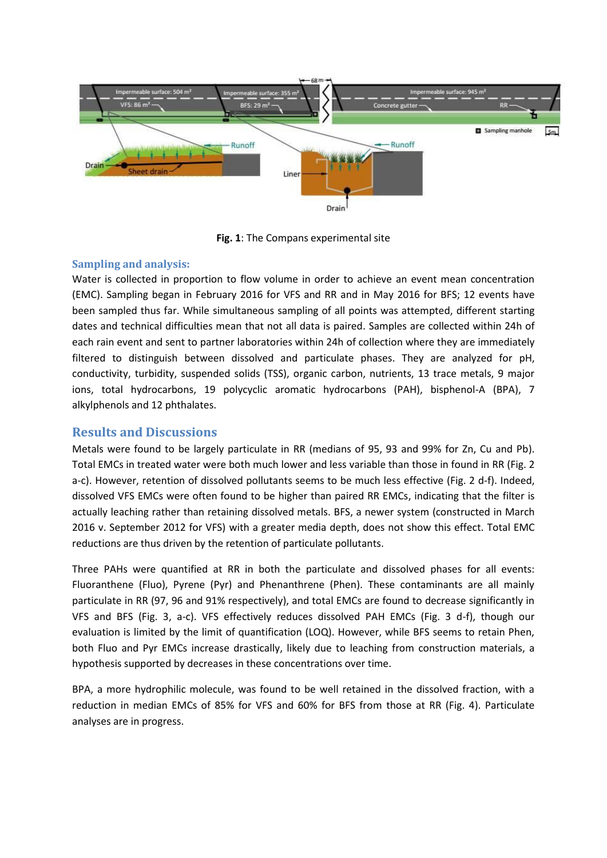

**Fig. 1**: The Compans experimental site

#### **Sampling and analysis:**

Water is collected in proportion to flow volume in order to achieve an event mean concentration (EMC). Sampling began in February 2016 for VFS and RR and in May 2016 for BFS; 12 events have been sampled thus far. While simultaneous sampling of all points was attempted, different starting dates and technical difficulties mean that not all data is paired. Samples are collected within 24h of each rain event and sent to partner laboratories within 24h of collection where they are immediately filtered to distinguish between dissolved and particulate phases. They are analyzed for pH, conductivity, turbidity, suspended solids (TSS), organic carbon, nutrients, 13 trace metals, 9 major ions, total hydrocarbons, 19 polycyclic aromatic hydrocarbons (PAH), bisphenol-A (BPA), 7 alkylphenols and 12 phthalates.

# **Results and Discussions**

Metals were found to be largely particulate in RR (medians of 95, 93 and 99% for Zn, Cu and Pb). Total EMCs in treated water were both much lower and less variable than those in found in RR (Fig. 2 a-c). However, retention of dissolved pollutants seems to be much less effective (Fig. 2 d-f). Indeed, dissolved VFS EMCs were often found to be higher than paired RR EMCs, indicating that the filter is actually leaching rather than retaining dissolved metals. BFS, a newer system (constructed in March 2016 v. September 2012 for VFS) with a greater media depth, does not show this effect. Total EMC reductions are thus driven by the retention of particulate pollutants.

Three PAHs were quantified at RR in both the particulate and dissolved phases for all events: Fluoranthene (Fluo), Pyrene (Pyr) and Phenanthrene (Phen). These contaminants are all mainly particulate in RR (97, 96 and 91% respectively), and total EMCs are found to decrease significantly in VFS and BFS (Fig. 3, a-c). VFS effectively reduces dissolved PAH EMCs (Fig. 3 d-f), though our evaluation is limited by the limit of quantification (LOQ). However, while BFS seems to retain Phen, both Fluo and Pyr EMCs increase drastically, likely due to leaching from construction materials, a hypothesis supported by decreases in these concentrations over time.

BPA, a more hydrophilic molecule, was found to be well retained in the dissolved fraction, with a reduction in median EMCs of 85% for VFS and 60% for BFS from those at RR (Fig. 4). Particulate analyses are in progress.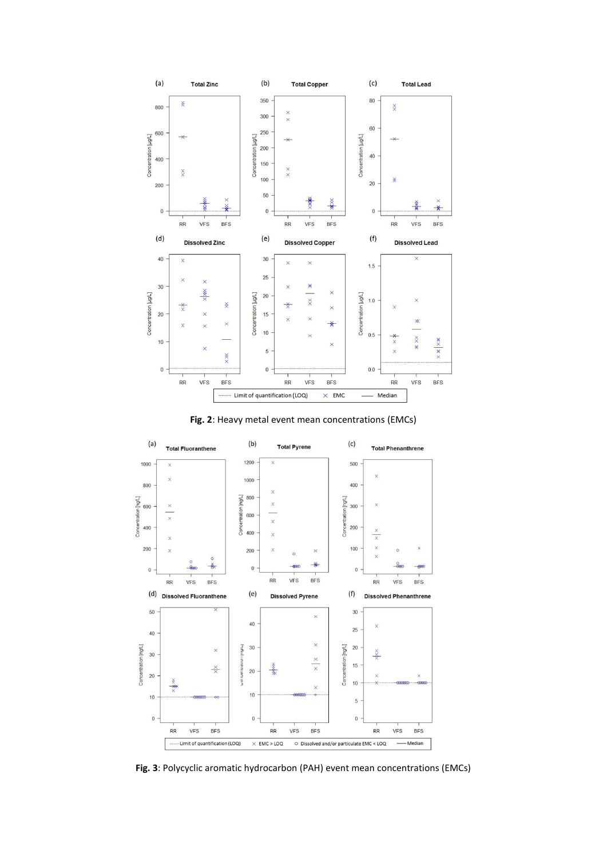

**Fig. 2**: Heavy metal event mean concentrations (EMCs)



**Fig. 3**: Polycyclic aromatic hydrocarbon (PAH) event mean concentrations (EMCs)